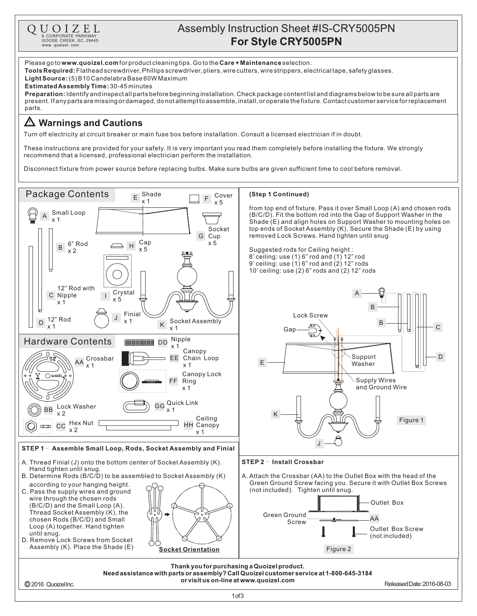

## Assembly Instruction Sheet #IS-CRY5005PN **For Style CRY5005PN** 6 CORPORATE PARKWAY

Please go to **www.quoizel.com** for product cleaning tips. Go to the **Care + Maintenance** selection. **Tools Required:** Flathead screwdriver, Phillips screwdriver, pliers, wire cutters, wire strippers, electrical tape, safety glasses. (5)B10CandelabraBase60WMaximum **LightSource: Estimated Assembly Time:** 30-45 minutes **Preparation:** Identify and inspectall parts before beginning installation. Check package content list and diagrams below to be sure all parts are present.Ifanypartsaremissingordamaged,donotattempttoassemble,install,oroperatethefixture.Contactcustomerserviceforreplacement parts. **Warnings and Cautions** Turn off electricity at circuit breaker or main fuse box before installation. Consult a licensed electrician if in doubt. These instructions are provided for your safety. It is very important you read them completely before installing the fixture. We strongly recommend that a licensed, professional electrician perform the installation. Disconnect fixture from power source before replacing bulbs. Make sure bulbs are given sufficient time to cool before removal. Package Contents  $E \begin{array}{c} \text{Shade} \\ \text{x 1} \end{array}$   $E \begin{array}{c} \text{Cover} \\ \text{x 5} \end{array}$ **(Step 1 Continued)** x 5 from top end of fixture. Pass it over Small Loop (A) and chosen rods Small Loop (B/C/D). Fit the bottom rod into the Gap of Support Washer in the x 1 Shade (E) and align holes on Support Washer to mounting holes on Socket top ends of Socket Assembly (K). Secure the Shade (E) by using removed Lock Screws. Hand tighten until snug. G Cup 6" Rod  $H = \begin{matrix} \text{Cap} \\ \text{V} & \text{E} \end{matrix}$  x 5 B x 5 Suggested rods for Ceiling height : x 2 8' ceiling: use (1) 6" rod and (1) 12" rod 9' ceiling: use  $(1)$  6" rod and  $(2)$  12" rods 10' ceiling: use (2) 6" rods and (2) 12" rods 12" Rod with <sup>I</sup> Crystal A C Nipple x 5 x 1 B Finial Lock Screw  $D$  12" Rod x 1 <sup>K</sup> Socket Assembly B x 1 x 1 C Gar Nipple Hardware Contents DD x 1 Canopy Support D Crossbar EE Chain Loop AA E Washerx 1 x 1 Canopy Lock  $\bigcap$  QUOIZ Supply Wires Ring FF x 1 and Ground Wire GG Quick Link Lock Washer BB x 1 x 2 K Ceiling Figure 1 Hex Nut [  $\alpha$ CC HH Canopy To: x 2 x 1 J **STEP 1 - Assemble Small Loop, Rods, Socket Assembly and Finial** A. Thread Finial (J) onto the bottom center of Socket Assembly (K). **STEP 2 - Install Crossbar** Hand tighten until snug. B. Determine Rods (B/C/D) to be assembled to Socket Assembly (K) A. Attach the Crossbar (AA) to the Outlet Box with the head of the Green Ground Screw facing you. Secure it with Outlet Box Screws according to your hanging height. (not included). Tighten until snug. C. Pass the supply wires and ground wire through the chosen rods Outlet Box (B/C/D) and the Small Loop (A). Thread Socket Assembly (K), the Green Ground chosen Rods (B/C/D) and Small  $S_{Crew}$   $\longrightarrow$   $AA$ Loop (A) together. Hand tighten Outlet Box Screw until snug. (not included) D. Remove Lock Screws from Socket Assembly (K). Place the Shade (E) **Socket Orientation** Figure 2 **Thank youfor purchasinga Quoizelproduct. Needassistance withparts or assembly?CallQuoizelcustomer service at 1-800-645-3184 or visit us on-line at www.quoizel.com** ReleasedDate:2016-08-03 2016 QuoizelInc.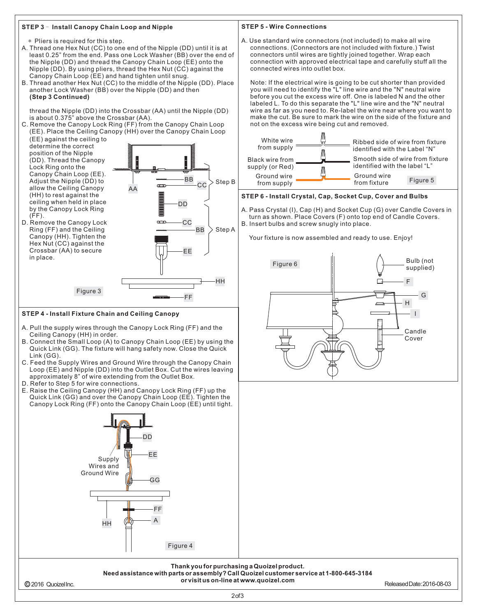